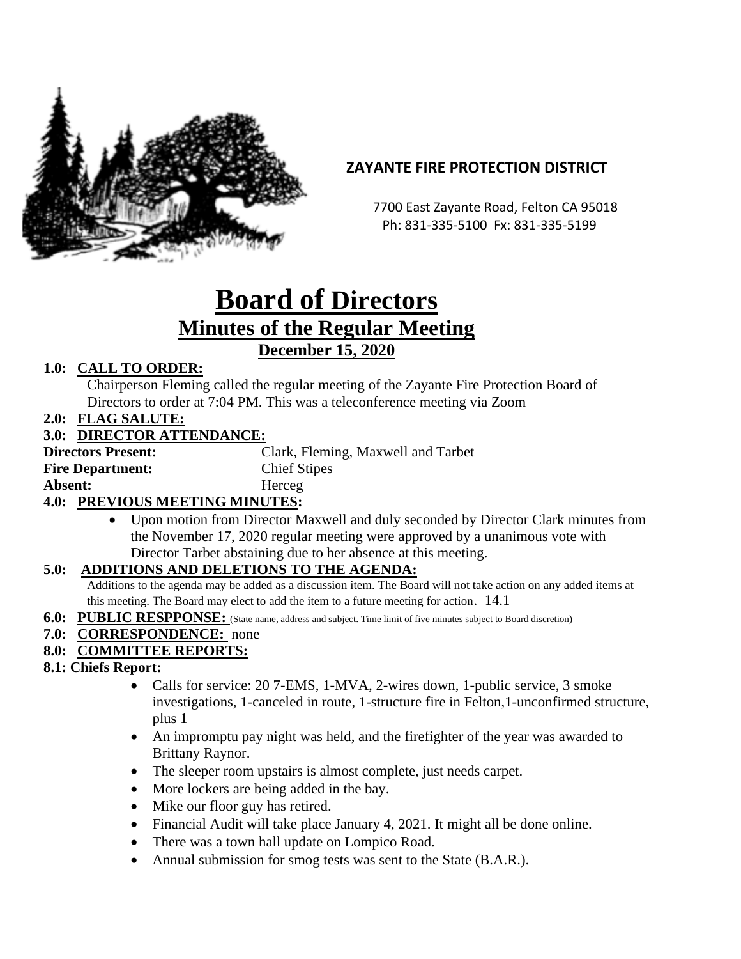

# **ZAYANTE FIRE PROTECTION DISTRICT**

 7700 East Zayante Road, Felton CA 95018 Ph: 831-335-5100 Fx: 831-335-5199

# **Board of Directors Minutes of the Regular Meeting December 15, 2020**

## **1.0: CALL TO ORDER:**

Chairperson Fleming called the regular meeting of the Zayante Fire Protection Board of Directors to order at 7:04 PM. This was a teleconference meeting via Zoom

**2.0: FLAG SALUTE:**

#### **3.0: DIRECTOR ATTENDANCE:**

| <b>Directors Present:</b>                    | Clark, Fleming, Maxwell and Tarbet |
|----------------------------------------------|------------------------------------|
| <b>Fire Department:</b>                      | <b>Chief Stipes</b>                |
| Absent:                                      | Herceg                             |
| <b><i>A</i> 0.</b> DDEVIOUS MEETING MINUTES. |                                    |

#### **4.0: PREVIOUS MEETING MINUTES:**

• Upon motion from Director Maxwell and duly seconded by Director Clark minutes from the November 17, 2020 regular meeting were approved by a unanimous vote with Director Tarbet abstaining due to her absence at this meeting.

#### **5.0: ADDITIONS AND DELETIONS TO THE AGENDA:**

Additions to the agenda may be added as a discussion item. The Board will not take action on any added items at this meeting. The Board may elect to add the item to a future meeting for action. 14.1

**6.0: PUBLIC RESPPONSE:** (State name, address and subject. Time limit of five minutes subject to Board discretion)

#### **7.0: CORRESPONDENCE:** none

#### **8.0: COMMITTEE REPORTS:**

- **8.1: Chiefs Report:**
	- Calls for service: 20 7-EMS, 1-MVA, 2-wires down, 1-public service, 3 smoke investigations, 1-canceled in route, 1-structure fire in Felton,1-unconfirmed structure, plus 1
	- An impromptu pay night was held, and the firefighter of the year was awarded to Brittany Raynor.
	- The sleeper room upstairs is almost complete, just needs carpet.
	- More lockers are being added in the bay.
	- Mike our floor guy has retired.
	- Financial Audit will take place January 4, 2021. It might all be done online.
	- There was a town hall update on Lompico Road.
	- Annual submission for smog tests was sent to the State (B.A.R.).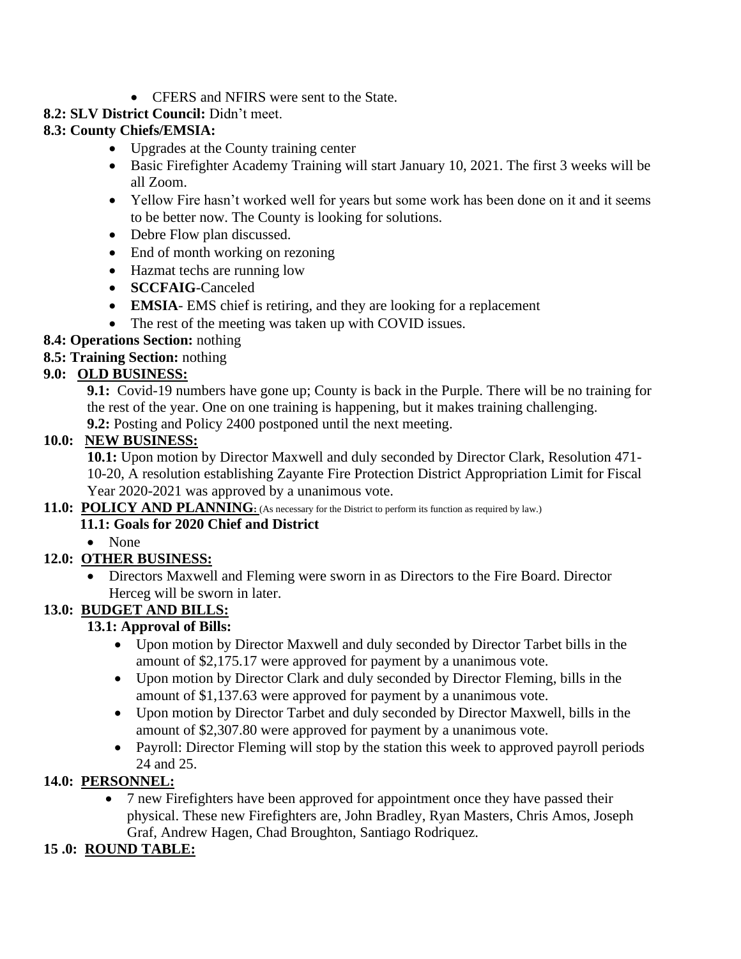• CFERS and NFIRS were sent to the State.

## **8.2: SLV District Council:** Didn't meet.

## **8.3: County Chiefs/EMSIA:**

- Upgrades at the County training center
- Basic Firefighter Academy Training will start January 10, 2021. The first 3 weeks will be all Zoom.
- Yellow Fire hasn't worked well for years but some work has been done on it and it seems to be better now. The County is looking for solutions.
- Debre Flow plan discussed.
- End of month working on rezoning
- Hazmat techs are running low
- **SCCFAIG**-Canceled
- **EMSIA** EMS chief is retiring, and they are looking for a replacement
- The rest of the meeting was taken up with COVID issues.
- **8.4: Operations Section:** nothing
- **8.5: Training Section:** nothing

## **9.0: OLD BUSINESS:**

**9.1:** Covid-19 numbers have gone up; County is back in the Purple. There will be no training for the rest of the year. One on one training is happening, but it makes training challenging. **9.2:** Posting and Policy 2400 postponed until the next meeting.

#### **10.0: NEW BUSINESS:**

**10.1:** Upon motion by Director Maxwell and duly seconded by Director Clark, Resolution 471- 10-20, A resolution establishing Zayante Fire Protection District Appropriation Limit for Fiscal Year 2020-2021 was approved by a unanimous vote.

#### **11.0: POLICY AND PLANNING**: (As necessary for the District to perform its function as required by law.)

#### **11.1: Goals for 2020 Chief and District**

• None

## **12.0: OTHER BUSINESS:**

• Directors Maxwell and Fleming were sworn in as Directors to the Fire Board. Director Herceg will be sworn in later.

## **13.0: BUDGET AND BILLS:**

## **13.1: Approval of Bills:**

- Upon motion by Director Maxwell and duly seconded by Director Tarbet bills in the amount of \$2,175.17 were approved for payment by a unanimous vote.
- Upon motion by Director Clark and duly seconded by Director Fleming, bills in the amount of \$1,137.63 were approved for payment by a unanimous vote.
- Upon motion by Director Tarbet and duly seconded by Director Maxwell, bills in the amount of \$2,307.80 were approved for payment by a unanimous vote.
- Payroll: Director Fleming will stop by the station this week to approved payroll periods 24 and 25.

## **14.0: PERSONNEL:**

• 7 new Firefighters have been approved for appointment once they have passed their physical. These new Firefighters are, John Bradley, Ryan Masters, Chris Amos, Joseph Graf, Andrew Hagen, Chad Broughton, Santiago Rodriquez.

## **15 .0: ROUND TABLE:**